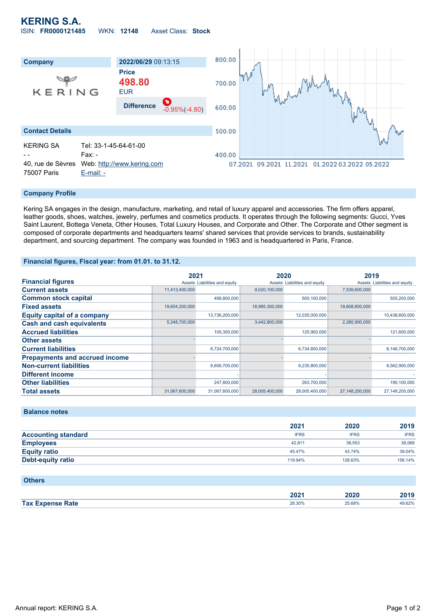## **KERING S.A.** ISIN: **FR0000121485** WKN: **12148** Asset Class: **Stock**



#### **Company Profile**

Kering SA engages in the design, manufacture, marketing, and retail of luxury apparel and accessories. The firm offers apparel, leather goods, shoes, watches, jewelry, perfumes and cosmetics products. It operates through the following segments: Gucci, Yves Saint Laurent, Bottega Veneta, Other Houses, Total Luxury Houses, and Corporate and Other. The Corporate and Other segment is composed of corporate departments and headquarters teams' shared services that provide services to brands, sustainability department, and sourcing department. The company was founded in 1963 and is headquartered in Paris, France.

#### **Financial figures, Fiscal year: from 01.01. to 31.12.**

|                                       | 2021           |                               | 2020           |                               | 2019           |                               |
|---------------------------------------|----------------|-------------------------------|----------------|-------------------------------|----------------|-------------------------------|
| <b>Financial figures</b>              |                | Assets Liabilities and equity |                | Assets Liabilities and equity |                | Assets Liabilities and equity |
| <b>Current assets</b>                 | 11,413,400,000 |                               | 9,020,100,000  |                               | 7,539,600,000  |                               |
| <b>Common stock capital</b>           |                | 498,800,000                   |                | 500,100,000                   |                | 505,200,000                   |
| <b>Fixed assets</b>                   | 19,654,200,000 |                               | 18,985,300,000 |                               | 19,608,600,000 |                               |
| <b>Equity capital of a company</b>    |                | 13,736,200,000                |                | 12,035,000,000                |                | 10,438,600,000                |
| <b>Cash and cash equivalents</b>      | 5,248,700,000  |                               | 3,442,800,000  |                               | 2,285,900,000  |                               |
| <b>Accrued liabilities</b>            |                | 105,300,000                   |                | 125,900,000                   |                | 121,600,000                   |
| <b>Other assets</b>                   |                |                               |                |                               |                |                               |
| <b>Current liabilities</b>            |                | 8,724,700,000                 |                | 6,734,600,000                 |                | 8,146,700,000                 |
| <b>Prepayments and accrued income</b> |                |                               |                |                               |                |                               |
| <b>Non-current liabilities</b>        |                | 8,606,700,000                 |                | 9,235,800,000                 |                | 8,562,900,000                 |
| Different income                      |                |                               |                |                               |                |                               |
| <b>Other liabilities</b>              |                | 247,800,000                   |                | 263,700,000                   |                | 190,100,000                   |
| <b>Total assets</b>                   | 31,067,600,000 | 31,067,600,000                | 28,005,400,000 | 28,005,400,000                | 27,148,200,000 | 27,148,200,000                |

## **Balance notes**

|                            | 2021        | 2020        | 2019        |
|----------------------------|-------------|-------------|-------------|
| <b>Accounting standard</b> | <b>IFRS</b> | <b>IFRS</b> | <b>IFRS</b> |
| <b>Employees</b>           | 42.811      | 38.553      | 38,068      |
| <b>Equity ratio</b>        | 45.47%      | 43.74%      | 39.04%      |
| Debt-equity ratio          | 119.94%     | 128.63%     | 156.14%     |

#### **Others**

|                      | רחה<br>40Z L | 2020   | 2010<br>47 E |
|----------------------|--------------|--------|--------------|
| <b>Tax Expense</b>   | 28.30%       | 25.68% | +9.62%       |
| <b>Engineer Rate</b> | .            | .      |              |